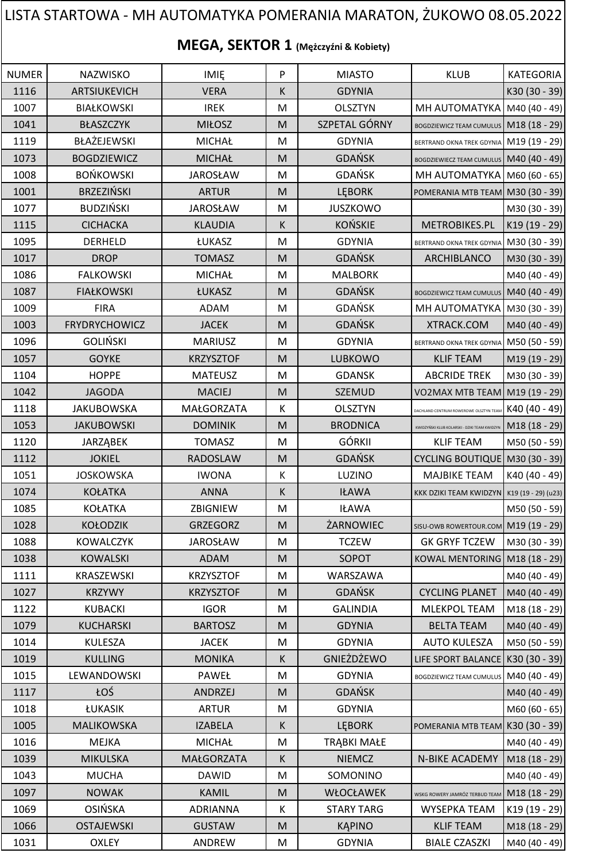## NUMER | NAZWISKO | IMIĘ | P | MIASTO | KLUB |KATEGORIA 1116 | ARTSIUKEVICH | VERA | K | GDYNIA | K30 (30 - 39) 1007 BIAŁKOWSKI I REK M OLSZTYN MH AUTOMATYKA M40 (40 - 49) 1041 | BŁASZCZYK | MIŁOSZ | M | SZPETAL GÓRNY BOGDZIEWICZ TEAM CUMULUS | M18 (18 - 29) 1119 BŁAŻEJEWSKI MICHAŁ MI GDYNIA BERTRAND OKNA TREK GDYNIA M19 (19 - 29) 1073 BOGDZIEWICZ | MICHAŁ | M GDAŃSK BOGDZIEWIECZ TEAM CUMULUS M40 (40 - 49) 1008 BOŃKOWSKI | JAROSŁAW | M | GDAŃSK | MH AUTOMATYKA M60 (60 - 65) 1001 | BRZEZIŃSKI | ARTUR | M LEBORK | POMERANIA MTB TEAM M30 (30 - 39) 1077 | BUDZIŃSKI | JAROSŁAW | M | JUSZKOWO | |M30 (30 - 39) 1115 CICHACKA KLAUDIA K KOŃSKIE METROBIKES.PL K19 (19 - 29) 1095 DERHELD LUKASZ M GDYNIA BERTRAND OKNA TREK GDYNIA M30 (30 - 39) 1017 | DROP | TOMASZ | M | GDAŃSK | ARCHIBLANCO | M30 (30 - 39) 1086 | FALKOWSKI | MICHAŁ | M | MALBORK | |M40 (40 - 49) 1087 | FIAŁKOWSKI | ŁUKASZ | M GDAŃSK BOGDZIEWICZ TEAM CUMULUS | M40 (40 - 49) 1009 | FIRA | ADAM | M | GDAŃSK | MH AUTOMATYKA | M30 (30 - 39) 1003 | FRYDRYCHOWICZ | JACEK | M | GDAŃSK | XTRACK.COM | M40 (40 - 49) 1096 GOLIŃSKI MARIUSZ M GDYNIA BERTRAND OKNA TREK GDYNIA M50 (50 - 59) 1057 | GOYKE | KRZYSZTOF | M | LUBKOWO | KLIF TEAM |M19 (19 - 29) 1104 | HOPPE | MATEUSZ | M | GDANSK | ABCRIDE TREK |M30 (30 - 39) 1042 JAGODA | MACIEJ | M | SZEMUD | VO2MAX MTB TEAM | M19 (19 - 29) 1118 JAKUBOWSKA MAŁGORZATA K OLSZTYN DACHLAND CENTRUM ROWEROWE OLSZTYN TEAM K40 (40 - 49) 1053 JAKUBOWSKI DOMINIK M M BRODNICA KWIDZYŃSKI KLUB KOJAREAM KWIDZYN **M18 (18 - 29)** 1120 | JARZĄBEK | TOMASZ | M | GÓRKII | KLIF TEAM |M50 (50 - 59) 1112 | JOKIEL | RADOSLAW | M | GDAŃSK | CYCLING BOUTIQUE M30 (30 - 39) 1051 | JOSKOWSKA | IWONA | K | LUZINO | MAJBIKE TEAM | K40 (40 - 49) 1074 | KOŁATKA | ANNA | K | IŁAWA | KKK DZIKI TEAM KWIDZYN | K19 (19 - 29) (u23) 1085 | KOŁATKA | ZBIGNIEW | M | IŁAWA | M50 (50 - 59) 1028 | KOŁODZIK | GRZEGORZ | M | ŻARNOWIEC | SISU-OWB ROWERTOUR.COM | M19 (19 - 29) 1088 | KOWALCZYK | JAROSŁAW | M | TCZEW | GK GRYF TCZEW | M30 (30 - 39) 1038 | KOWALSKI | ADAM | M SOPOT | KOWAL MENTORING | M18 (18 - 29) 1111 | KRASZEWSKI | KRZYSZTOF | M | WARSZAWA | |M40 (40 - 49) 1027 KRZYWY | KRZYSZTOF | M | GDAŃSK | CYCLING PLANET M40 (40 - 49) 1122 | KUBACKI | IGOR | M | GALINDIA | MLEKPOL TEAM | M18 (18 - 29) 1079 | KUCHARSKI | BARTOSZ | M. | GDYNIA | BELTA TEAM |M40 (40 - 49) 1014 | KULESZA | JACEK | M | GDYNIA | AUTO KULESZA |M50 (50 - 59) 1019 | KULLING | MONIKA | K | GNIEŻDŻEWO |LIFE SPORT BALANCE K30 (30 - 39) 1015 | LEWANDOWSKI | PAWEŁ | M | GDYNIA | BOGDZIEWICZ TEAM CUMULUS | M40 (40 - 49) 1117 | ŁOŚ | ANDRZEJ |M | GDAŃSK | M40 (40 - 49) 1018 | ŁUKASIK | ARTUR | M | GDYNIA | |M60 (60 - 65) 1005 | MALIKOWSKA | IZABELA | K LEBORK POMERANIA MTB TEAM K30 (30 - 39) 1016 | MEJKA | MICHAŁ | M | TRABKI MAŁE | M40 (40 - 49) 1039 | MIKULSKA | MAŁGORZATA | K | NIEMCZ | N-BIKE ACADEMY | M18 (18 - 29) 1043 | MUCHA | DAWID | M | SOMONINO | |M40 (40 - 49) 1097 | NOWAK | KAMIL | M | WŁOCŁAWEK | <sub>wskg rowery jamróz terbud team</sub> | M18 (18 - 29) 1069 | OSIŃSKA | ADRIANNA | K | STARY TARG | WYSEPKA TEAM | K19 (19 - 29) 1066 | OSTAJEWSKI | GUSTAW | M. | KĄPINO | KLIF TEAM |M18 (18 - 29) **MEGA, SEKTOR 1 (Mężczyźni & Kobiety)** LISTA STARTOWA - MH AUTOMATYKA POMERANIA MARATON, ŻUKOWO 08.05.2022

1031 | OXLEY | ANDREW | M | GDYNIA | BIALE CZASZKI | M40 (40 - 49)